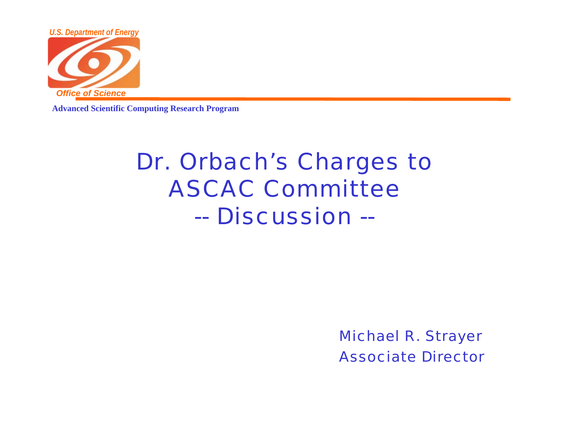

**Advanced Scientific Computing Research Program**

## Dr. Orbach's Charges to ASCAC Committee-- Discussion --

Michael R. Strayer Associate Director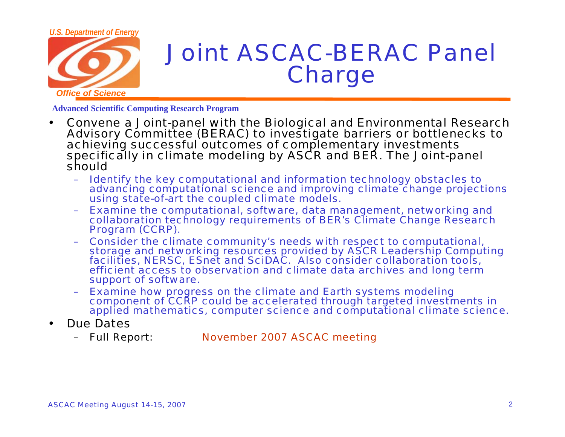

## Joint ASCAC-BERAC Panel **Charge**

**Advanced Scientific Computing Research Program**

- • Convene a Joint-panel with the Biological and Environmental Research Advisory Committee (BERAC) to investigate barriers or bottlenecks to achieving successful outcomes of complementary investments specifically in climate modeling by ASCR and BER. The Joint-panel should
	- – Identify the key computational and information technology obstacles to advancing computational science and improving climate change projections using state-of-art the coupled climate models.
	- – Examine the computational, software, data management, networking and collaboration technology requirements of BER's Climate Change Research Program (CCRP).
	- – Consider the climate community's needs with respect to computational, storage and networking resources provided by ASCR Leadership Computing facilities, NERSC, ESnet and SciDAC. Also consider collaboration tools, efficient access to observation and climate data archives and long term support of software.
	- Examine how progress on the climate and Earth systems modeling component of CCRP could be accelerated through targeted investments in applied mathematics, computer science and computational climate science.
- • Due Dates
	- –Full Report: November 2007 ASCAC meeting